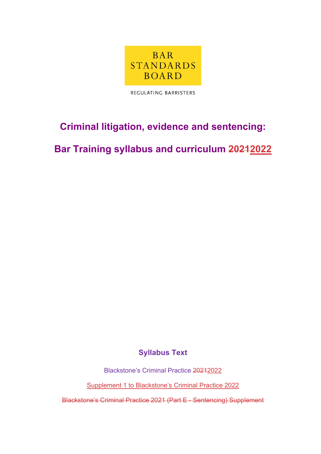

REGULATING BARRISTERS

# **Criminal litigation, evidence and sentencing:**

**Bar Training syllabus and curriculum 20212022**

**Syllabus Text**

Blackstone's Criminal Practice 20212022

Supplement 1 to Blackstone's Criminal Practice 2022

Blackstone's Criminal Practice 2021 (Part E - Sentencing) Supplement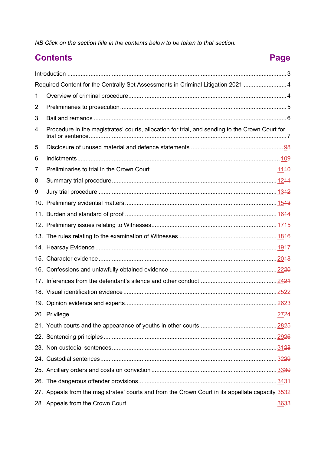*NB Click on the section title in the contents below to be taken to that section.*

# **Contents Page**

| Required Content for the Centrally Set Assessments in Criminal Litigation 2021  4 |                                                                                                  |  |
|-----------------------------------------------------------------------------------|--------------------------------------------------------------------------------------------------|--|
| 1.                                                                                |                                                                                                  |  |
| 2.                                                                                |                                                                                                  |  |
| 3.                                                                                |                                                                                                  |  |
| 4.                                                                                | Procedure in the magistrates' courts, allocation for trial, and sending to the Crown Court for   |  |
| 5.                                                                                |                                                                                                  |  |
| 6.                                                                                |                                                                                                  |  |
| 7.                                                                                |                                                                                                  |  |
| 8.                                                                                |                                                                                                  |  |
| 9.                                                                                |                                                                                                  |  |
| 10.                                                                               |                                                                                                  |  |
| 11.                                                                               |                                                                                                  |  |
|                                                                                   |                                                                                                  |  |
|                                                                                   |                                                                                                  |  |
|                                                                                   |                                                                                                  |  |
|                                                                                   |                                                                                                  |  |
|                                                                                   |                                                                                                  |  |
| 17.                                                                               |                                                                                                  |  |
|                                                                                   |                                                                                                  |  |
|                                                                                   |                                                                                                  |  |
|                                                                                   |                                                                                                  |  |
|                                                                                   |                                                                                                  |  |
|                                                                                   |                                                                                                  |  |
|                                                                                   |                                                                                                  |  |
|                                                                                   |                                                                                                  |  |
|                                                                                   |                                                                                                  |  |
|                                                                                   |                                                                                                  |  |
|                                                                                   | 27. Appeals from the magistrates' courts and from the Crown Court in its appellate capacity 3532 |  |
|                                                                                   |                                                                                                  |  |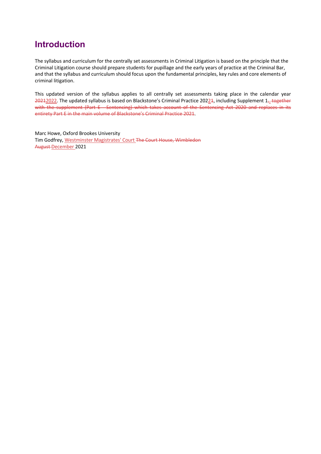### **Introduction**

The syllabus and curriculum for the centrally set assessments in Criminal Litigation is based on the principle that the Criminal Litigation course should prepare students for pupillage and the early years of practice at the Criminal Bar, and that the syllabus and curriculum should focus upon the fundamental principles, key rules and core elements of criminal litigation.

This updated version of the syllabus applies to all centrally set assessments taking place in the calendar year 20212022. The updated syllabus is based on Blackstone's Criminal Practice 20221, including Supplement 1<sub>7</sub> together with the supplement (Part E - Sentencing) which takes account of the Sentencing Act 2020 and replaces in its entirety Part E in the main volume of Blackstone's Criminal Practice 2021.

Marc Howe, Oxford Brookes University Tim Godfrey, Westminster Magistrates' Court The Court House, Wimbledon August December 2021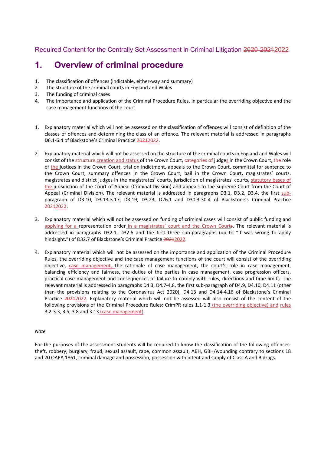Required Content for the Centrally Set Assessment in Criminal Litigation 2020-20212022

#### **1. Overview of criminal procedure**

- 1. The classification of offences (indictable, either-way and summary)
- 2. The structure of the criminal courts in England and Wales
- 3. The funding of criminal cases
- 4. The importance and application of the Criminal Procedure Rules, in particular the overriding objective and the case management functions of the court
- 1. Explanatory material which will not be assessed on the classification of offences will consist of definition of the classes of offences and determining the class of an offence. The relevant material is addressed in paragraphs D6.1-6.4 of Blackstone's Criminal Practice 20212022.
- 2. Explanatory material which will not be assessed on the structure of the criminal courts in England and Wales will consist of the structure creation and status of the Crown Court, categories of judges in the Crown Court, the role of the justices in the Crown Court, trial on indictment, appeals to the Crown Court, committal for sentence to the Crown Court, summary offences in the Crown Court, bail in the Crown Court, magistrates' courts, magistrates and district judges in the magistrates' courts, jurisdiction of magistrates' courts, statutory bases of the jurisdiction of the Court of Appeal (Criminal Division) and appeals to the Supreme Court from the Court of Appeal (Criminal Division). The relevant material is addressed in paragraphs D3.1, D3.2, D3.4, the first subparagraph of D3.10, D3.13-3.17, D3.19, D3.23, D26.1 and D30.3-30.4 of Blackstone's Criminal Practice 20212022.
- 3. Explanatory material which will not be assessed on funding of criminal cases will consist of public funding and applying for a representation order in a magistrates' court and the Crown Courts. The relevant material is addressed in paragraphs D32.1, D32.6 and the first three sub-paragraphs (up to "It was wrong to apply hindsight.") of D32.7 of Blackstone's Criminal Practice 20212022.
- 4. Explanatory material which will not be assessed on the importance and application of the Criminal Procedure Rules, the overriding objective and the case management functions of the court will consist of the overriding objective, case management, the rationale of case management, the court's role in case management, balancing efficiency and fairness, the duties of the parties in case management, case progression officers, practical case management and consequences of failure to comply with rules, directions and time limits. The relevant material is addressed in paragraphs D4.3, D4.7-4.8, the first sub-paragraph of D4.9, D4.10, D4.11 (other than the provisions relating to the Coronavirus Act 2020), D4.13 and D4.14-4.16 of Blackstone's Criminal Practice 20212022. Explanatory material which will not be assessed will also consist of the content of the following provisions of the Criminal Procedure Rules: CrimPR rules 1.1-1.3 (the overriding objective) and rules 3.2-3.3, 3.5, 3.8 and 3.13 (case management).

#### *Note*

For the purposes of the assessment students will be required to know the classification of the following offences: theft, robbery, burglary, fraud, sexual assault, rape, common assault, ABH, GBH/wounding contrary to sections 18 and 20 OAPA 1861, criminal damage and possession, possession with intent and supply of Class A and B drugs.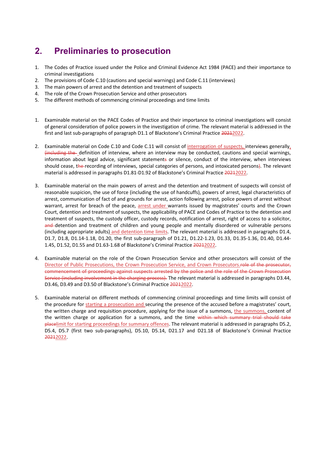# **2. Preliminaries to prosecution**

- 1. The Codes of Practice issued under the Police and Criminal Evidence Act 1984 (PACE) and their importance to criminal investigations
- 2. The provisions of Code C.10 (cautions and special warnings) and Code C.11 (interviews)
- 3. The main powers of arrest and the detention and treatment of suspects
- 4. The role of the Crown Prosecution Service and other prosecutors
- 5. The different methods of commencing criminal proceedings and time limits
- 1. Examinable material on the PACE Codes of Practice and their importance to criminal investigations will consist of general consideration of police powers in the investigation of crime. The relevant material is addressed in the first and last sub-paragraphs of paragraph D1.1 of Blackstone's Criminal Practice 20212022.
- 2. Examinable material on Code C.10 and Code C.11 will consist of interrogation of suspects, interviews generally, (including the definition of interview, where an interview may be conducted, cautions and special warnings, information about legal advice, significant statements or silence, conduct of the interview, when interviews should cease, the recording of interviews, special categories of persons, and intoxicated persons). The relevant material is addressed in paragraphs D1.81-D1.92 of Blackstone's Criminal Practice 20212022.
- 3. Examinable material on the main powers of arrest and the detention and treatment of suspects will consist of reasonable suspicion, the use of force (including the use of handcuffs), powers of arrest, legal characteristics of arrest, communication of fact of and grounds for arrest, action following arrest, police powers of arrest without warrant, arrest for breach of the peace, arrest under warrants issued by magistrates' courts and the Crown Court, detention and treatment of suspects, the applicability of PACE and Codes of Practice to the detention and treatment of suspects, the custody officer, custody records, notification of arrest, right of access to a solicitor, and-detention and treatment of children and young people and mentally disordered or vulnerable persons (including appropriate adults) and detention time limits. The relevant material is addressed in paragraphs D1.4, D1.7, D1.8, D1.14-1.18, D1.20, the first sub-paragraph of D1.21, D1.22-1.23, D1.33, D1.35-1.36, D1.40, D1.44- 1.45, D1.52, D1.55 and D1.63-1.68 of Blackstone's Criminal Practice 20212022.
- 4. Examinable material on the role of the Crown Prosecution Service and other prosecutors will consist of the Director of Public Prosecutions, the Crown Prosecution Service, and Crown Prosecutors.<del>role of the prosecutor,</del> commencement of proceedings against suspects arrested by the police and the role of the Crown Prosecution Service (including involvement in the charging process). The relevant material is addressed in paragraphs D3.44, D3.46, D3.49 and D3.50 of Blackstone's Criminal Practice 20212022.
- 5. Examinable material on different methods of commencing criminal proceedings and time limits will consist of the procedure for starting a prosecution and securing the presence of the accused before a magistrates' court, the written charge and requisition procedure, applying for the issue of a summons, the summons, content of the written charge or application for a summons, and the time within which summary trial should take placelimit for starting proceedings for summary offences. The relevant material is addressed in paragraphs D5.2, D5.4, D5.7 (first two sub-paragraphs), D5.10, D5.14, D21.17 and D21.18 of Blackstone's Criminal Practice 20212022.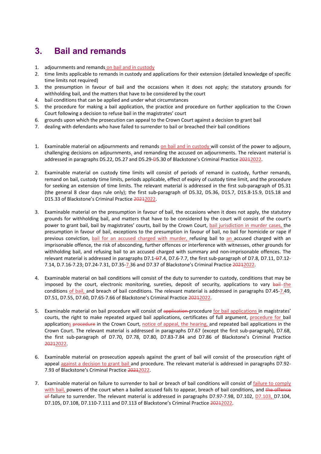# **3. Bail and remands**

- 1. adjournments and remands on bail and in custody
- 2. time limits applicable to remands in custody and applications for their extension (detailed knowledge of specific time limits not required)
- 3. the presumption in favour of bail and the occasions when it does not apply; the statutory grounds for withholding bail, and the matters that have to be considered by the court
- 4. bail conditions that can be applied and under what circumstances
- 5. the procedure for making a bail application, the practice and procedure on further application to the Crown Court following a decision to refuse bail in the magistrates' court
- 6. grounds upon which the prosecution can appeal to the Crown Court against a decision to grant bail
- 7. dealing with defendants who have failed to surrender to bail or breached their bail conditions
- 1. Examinable material on adjournments and remands on bail and in custody will consist of the power to adjourn, challenging decisions on adjournments, and remanding the accused on adjournments. The relevant material is addressed in paragraphs D5.22, D5.27 and D5.29-D5.30 of Blackstone's Criminal Practice 20212022.
- 2. Examinable material on custody time limits will consist of periods of remand in custody, further remands, remand on bail, custody time limits, periods applicable, effect of expiry of custody time limit, and the procedure for seeking an extension of time limits. The relevant material is addressed in the first sub-paragraph of D5.31 (the general 8 clear days rule only); the first sub-paragraph of D5.32, D5.36, D15.7, D15.8-15.9, D15.18 and D15.33 of Blackstone's Criminal Practice 20212022.
- 3. Examinable material on the presumption in favour of bail, the occasions when it does not apply, the statutory grounds for withholding bail, and matters that have to be considered by the court will consist of the court's power to grant bail, bail by magistrates' courts, bail by the Crown Court, bail jurisdiction in murder cases, the presumption in favour of bail, exceptions to the presumption in favour of bail, no bail for homicide or rape if previous conviction, bail for an accused charged with murder, refusing bail to an accused charged with an imprisonable offence, the risk of absconding, further offences or interference with witnesses, other grounds for withholding bail, and refusing bail to an accused charged with summary and non-imprisonable offences. The relevant material is addressed in paragraphs D7.1-D7.4, D7.6-7.7, the first sub-paragraph of D7.8, D7.11, D7.12-7.14, D.7.16-7.23; D7.24-7.31, D7.35-7.36 and D7.37 of Blackstone's Criminal Practice 20212022.
- 4. Examinable material on bail conditions will consist of the duty to surrender to custody, conditions that may be imposed by the court, electronic monitoring, sureties, deposit of security, applications to vary bail the conditions of bail, and breach of bail conditions. The relevant material is addressed in paragraphs D7.45-7.49, D7.51, D7.55, D7.60, D7.65-7.66 of Blackstone's Criminal Practice 20212022.
- 5. Examinable material on bail procedure will consist of application-procedure for bail applications in magistrates' courts, the right to make repeated argued bail applications, certificates of full argument, procedure for bail applications procedure in the Crown Court, notice of appeal, the hearing, and repeated bail applications in the Crown Court. The relevant material is addressed in paragraphs D7.67 (except the first sub-paragraph), D7.68, the first sub-paragraph of D7.70, D7.78, D7.80, D7.83-7.84 and D7.86 of Blackstone's Criminal Practice 20212022.
- 6. Examinable material on prosecution appeals against the grant of bail will consist of the prosecution right of appeal against a decision to grant bail and procedure. The relevant material is addressed in paragraphs D7.92- 7.93 of Blackstone's Criminal Practice 20212022.
- 7. Examinable material on failure to surrender to bail or breach of bail conditions will consist of failure to comply with bail, powers of the court when a bailed accused fails to appear, breach of bail conditions, and the offence  $\theta$  failure to surrender. The relevant material is addressed in paragraphs D7.97-7.98, D7.102, D7.103, D7.104, D7.105, D7.108, D7.110-7.111 and D7.113 of Blackstone's Criminal Practice 20212022.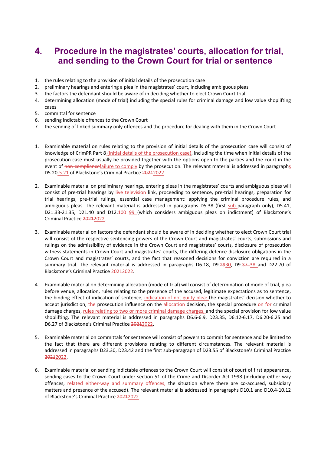### **4. Procedure in the magistrates' courts, allocation for trial, and sending to the Crown Court for trial or sentence**

- 1. the rules relating to the provision of initial details of the prosecution case
- 2. preliminary hearings and entering a plea in the magistrates' court, including ambiguous pleas
- 3. the factors the defendant should be aware of in deciding whether to elect Crown Court trial
- 4. determining allocation (mode of trial) including the special rules for criminal damage and low value shoplifting cases
- 5. committal for sentence
- 6. sending indictable offences to the Crown Court
- 7. the sending of linked summary only offences and the procedure for dealing with them in the Crown Court
- 1. Examinable material on rules relating to the provision of initial details of the prosecution case will consist of knowledge of CrimPR Part 8 (initial details of the prosecution case), including the time when initial details of the prosecution case must usually be provided together with the options open to the parties and the court in the event of non-compliancefailure to comply by the prosecution. The relevant material is addressed in paragraphs D5.20-5.21 of Blackstone's Criminal Practice 20212022.
- 2. Examinable material on preliminary hearings, entering pleas in the magistrates' courts and ambiguous pleas will consist of pre-trial hearings by live-television link, proceeding to sentence, pre-trial hearings, preparation for trial hearings, pre-trial rulings, essential case management: applying the criminal procedure rules, and ambiguous pleas. The relevant material is addressed in paragraphs D5.38 (first sub-paragraph only), D5.41, D21.33-21.35, D21.40 and D12.100-99 (which considers ambiguous pleas on indictment) of Blackstone's Criminal Practice 20212022.
- 3. Examinable material on factors the defendant should be aware of in deciding whether to elect Crown Court trial will consist of the respective sentencing powers of the Crown Court and magistrates' courts, submissions and rulings on the admissibility of evidence in the Crown Court and magistrates' courts, disclosure of prosecution witness statements in Crown Court and magistrates' courts, the differing defence disclosure obligations in the Crown Court and magistrates' courts, and the fact that reasoned decisions for conviction are required in a summary trial. The relevant material is addressed in paragraphs D6.18, D9.2930, D9.37-38 and D22.70 of Blackstone's Criminal Practice 20212022.
- 4. Examinable material on determining allocation (mode of trial) will consist of determination of mode of trial, plea before venue, allocation, rules relating to the presence of the accused, legitimate expectations as to sentence, the binding effect of indication of sentence, indication of not guilty plea: the magistrates' decision whether to accept jurisdiction, the prosecution influence on the allocation decision, the special procedure on for criminal damage charges, rules relating to two or more criminal damage charges, and the special provision for low value shoplifting. The relevant material is addressed in paragraphs D6.6-6.9, D23.35, D6.12-6.17, D6.20-6.25 and D6.27 of Blackstone's Criminal Practice 20212022.
- 5. Examinable material on committals for sentence will consist of powers to commit for sentence and be limited to the fact that there are different provisions relating to different circumstances. The relevant material is addressed in paragraphs D23.30, D23.42 and the first sub-paragraph of D23.55 of Blackstone's Criminal Practice 20212022.
- 6. Examinable material on sending indictable offences to the Crown Court will consist of court of first appearance, sending cases to the Crown Court under section 51 of the Crime and Disorder Act 1998 (including either way offences, related either-way and summary offences, the situation where there are co-accused, subsidiary matters and presence of the accused). The relevant material is addressed in paragraphs D10.1 and D10.4-10.12 of Blackstone's Criminal Practice 20212022.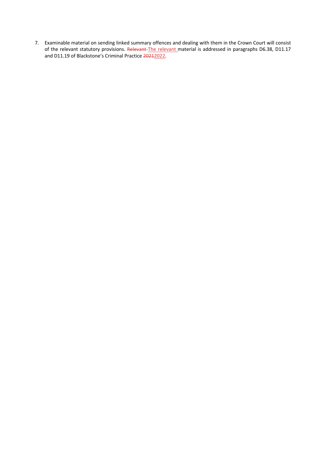7. Examinable material on sending linked summary offences and dealing with them in the Crown Court will consist of the relevant statutory provisions. Relevant-The relevant material is addressed in paragraphs D6.38, D11.17 and D11.19 of Blackstone's Criminal Practice 20212022.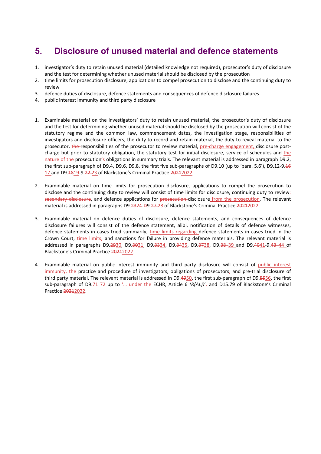### **5. Disclosure of unused material and defence statements**

- 1. investigator's duty to retain unused material (detailed knowledge not required), prosecutor's duty of disclosure and the test for determining whether unused material should be disclosed by the prosecution
- 2. time limits for prosecution disclosure, applications to compel prosecution to disclose and the continuing duty to review
- 3. defence duties of disclosure, defence statements and consequences of defence disclosure failures
- 4. public interest immunity and third party disclosure
- 1. Examinable material on the investigators' duty to retain unused material, the prosecutor's duty of disclosure and the test for determining whether unused material should be disclosed by the prosecution will consist of the statutory regime and the common law, commencement dates, the investigation stage, responsibilities of investigators and disclosure officers, the duty to record and retain material, the duty to reveal material to the prosecutor, the responsibilities of the prosecutor to review material, pre-charge engagement, disclosure postcharge but prior to statutory obligation, the statutory test for initial disclosure, service of schedules and the nature of the prosecution's obligations in summary trials. The relevant material is addressed in paragraph D9.2, the first sub-paragraph of D9.4, D9.6, D9.8, the first five sub-paragraphs of D9.10 (up to 'para. 5.6'), D9.12-9.46 17 and D9.1819-9.22 23 of Blackstone's Criminal Practice 20212022.
- 2. Examinable material on time limits for prosecution disclosure, applications to compel the prosecution to disclose and the continuing duty to review will consist of time limits for disclosure, continuing duty to review secondary disclosure, and defence applications for prosecution disclosure from the prosecution. The relevant material is addressed in paragraphs D9.2324-D9.27-28 of Blackstone's Criminal Practice 20212022.
- 3. Examinable material on defence duties of disclosure, defence statements, and consequences of defence disclosure failures will consist of the defence statement, alibi, notification of details of defence witnesses, defence statements in cases tried summarily, time limits regarding defence statements in cases tried in the Crown Court, time limits, and sanctions for failure in providing defence materials. The relevant material is addressed in paragraphs D9.2930, D9.3031, D9.3334, D9.3435, D9.3738, D9.38-39 and D9.4041-9.43-44 of Blackstone's Criminal Practice 20212022.
- 4. Examinable material on public interest immunity and third party disclosure will consist of public interest immunity, the practice and procedure of investigators, obligations of prosecutors, and pre-trial disclosure of third party material. The relevant material is addressed in D9.4950, the first sub-paragraph of D9.5556, the first sub-paragraph of D9.71-72 up to '... under the ECHR, Article 6 (R(AL))'<sub>L</sub> and D15.79 of Blackstone's Criminal Practice 20212022.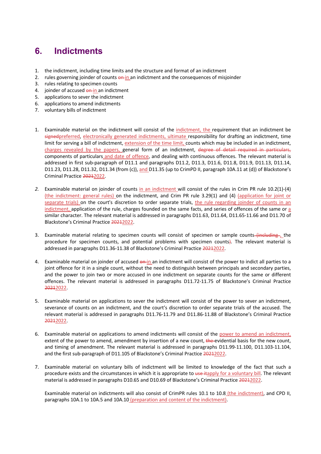## **6. Indictments**

- 1. the indictment, including time limits and the structure and format of an indictment
- 2. rules governing joinder of counts  $\frac{\partial \mathbf{F} \cdot \mathbf{n}}{\partial n}$  an indictment and the consequences of misjoinder
- 3. rules relating to specimen counts
- 4. joinder of accused on in an indictment
- 5. applications to sever the indictment
- 6. applications to amend indictments
- 7. voluntary bills of indictment
- 1. Examinable material on the indictment will consist of the indictment, the requirement that an indictment be signedpreferred, electronically generated indictments, ultimate responsibility for drafting an indictment, time limit for serving a bill of indictment, extension of the time limit, counts which may be included in an indictment, charges revealed by the papers, general form of an indictment, degree of detail required in particulars, components of particulars and date of offence, and dealing with continuous offences. The relevant material is addressed in first sub-paragraph of D11.1 and paragraphs D11.2, D11.3, D11.6, D11.8, D11.9, D11.13, D11.14, D11.23, D11.28, D11.32, D11.34 (from (c)), and D11.35 (up to CrimPD II, paragraph 10A.11 at (d)) of Blackstone's Criminal Practice 20212022.
- *2.* Examinable material on joinder of counts in an indictment will consist of the rules in Crim PR rule 10.2(1)-(4) (the indictment: general rules) on the indictment, and Crim PR rule 3.29(1) and (4) (application for joint or separate trials) on the court's discretion to order separate trials, the rule regarding joinder of counts in an indictment, application of the rule, charges founded on the same facts, and series of offences of the same or a similar character. The relevant material is addressed in paragraphs D11.63, D11.64, D11.65-11.66 and D11.70 of Blackstone's Criminal Practice 20212022.
- 3. Examinable material relating to specimen counts will consist of specimen or sample counts (including , the procedure for specimen counts, and potential problems with specimen counts). The relevant material is addressed in paragraphs D11.36-11.38 of Blackstone's Criminal Practice 20212022.
- 4. Examinable material on joinder of accused on in an indictment will consist of the power to indict all parties to a joint offence for it in a single count, without the need to distinguish between principals and secondary parties, and the power to join two or more accused in one indictment on separate counts for the same or different offences. The relevant material is addressed in paragraphs D11.72-11.75 of Blackstone's Criminal Practice 20212022.
- 5. Examinable material on applications to sever the indictment will consist of the power to sever an indictment, severance of counts on an indictment, and the court's discretion to order separate trials of the accused. The relevant material is addressed in paragraphs D11.76-11.79 and D11.86-11.88 of Blackstone's Criminal Practice 20212022.
- 6. Examinable material on applications to amend indictments will consist of the power to amend an indictment, extent of the power to amend, amendment by insertion of a new count, the evidential basis for the new count, and timing of amendment. The relevant material is addressed in paragraphs D11.99-11.100, D11.103-11.104, and the first sub-paragraph of D11.105 of Blackstone's Criminal Practice 20212022.
- 7. Examinable material on voluntary bills of indictment will be limited to knowledge of the fact that such a procedure exists and the circumstances in which it is appropriate to use itapply for a voluntary bill. The relevant material is addressed in paragraphs D10.65 and D10.69 of Blackstone's Criminal Practice 20212022.

Examinable material on indictments will also consist of CrimPR rules 10.1 to 10.8 (the indictment), and CPD II, paragraphs 10A.1 to 10A.5 and 10A.10 (preparation and content of the indictment).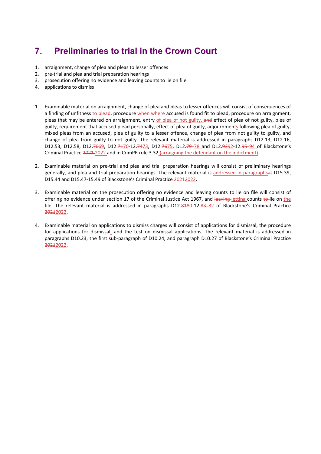# **7. Preliminaries to trial in the Crown Court**

- 1. arraignment, change of plea and pleas to lesser offences
- 2. pre-trial and plea and trial preparation hearings
- 3. prosecution offering no evidence and leaving counts to lie on file
- 4. applications to dismiss
- 1. Examinable material on arraignment, change of plea and pleas to lesser offences will consist of consequences of a finding of unfitness to plead, procedure when where accused is found fit to plead, procedure on arraignment, pleas that may be entered on arraignment, entry of plea of not guilty, and effect of plea of not guilty, plea of guilty, requirement that accused plead personally, effect of plea of guilty, adjournments following plea of guilty, mixed pleas from an accused, plea of guilty to a lesser offence, change of plea from not guilty to guilty, and change of plea from guilty to not guilty. The relevant material is addressed in paragraphs D12.13, D12.16, D12.53, D12.58, D12.7069, D12.7470-12.7473, D12.7675, D12.79-78 and D12.9392-12.95-94 of Blackstone's Criminal Practice 2021 2022 and in CrimPR rule 3.32 (arraigning the defendant on the indictment).
- 2. Examinable material on pre-trial and plea and trial preparation hearings will consist of preliminary hearings generally, and plea and trial preparation hearings. The relevant material is addressed in paragraphsat D15.39, D15.44 and D15.47-15.49 of Blackstone's Criminal Practice 20212022.
- 3. Examinable material on the prosecution offering no evidence and leaving counts to lie on file will consist of offering no evidence under section 17 of the Criminal Justice Act 1967, and leaving letting counts to lie on the file. The relevant material is addressed in paragraphs D12.8480-12.83-82 of Blackstone's Criminal Practice 20212022.
- 4. Examinable material on applications to dismiss charges will consist of applications for dismissal, the procedure for applications for dismissal, and the test on dismissal applications. The relevant material is addressed in paragraphs D10.23, the first sub-paragraph of D10.24, and paragraph D10.27 of Blackstone's Criminal Practice 20212022.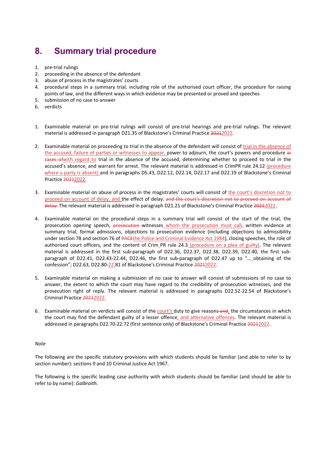## **8. Summary trial procedure**

- 1. pre-trial rulings
- 2. proceeding in the absence of the defendant
- 3. abuse of process in the magistrates' courts
- 4. procedural steps in a summary trial, including role of the authorised court officer, the procedure for raising points of law, and the different ways in which evidence may be presented or proved and speeches
- 5. submission of no case to answer
- 6. verdicts
- 1. Examinable material on pre-trial rulings will consist of pre-trial hearings and pre-trial rulings. The relevant material is addressed in paragraph D21.35 of Blackstone's Criminal Practice 20212022.
- 2. Examinable material on proceeding to trial in the absence of the defendant will consist of trial in the absence of the accused, failure of parties or witnesses to appear, power to adjourn, the court's powers and procedure in cases ofwith regard to trial in the absence of the accused, determining whether to proceed to trial in the accused's absence, and warrant for arrest. The relevant material is addressed in CrimPR rule 24.12 (procedure where a party is absent) and in paragraphs D5.43, D22.12, D22.14, D22.17 and D22.19 of Blackstone's Criminal Practice 20212022.
- 3. Examinable material on abuse of process in the magistrates' courts will consist of the court's discretion not to proceed on account of delay, and the effect of delay. and the court's discretion not to proceed on account of delay. The relevant material is addressed in paragraph D21.21 of Blackstone's Criminal Practice 20212022.
- 4. Examinable material on the procedural steps in a summary trial will consist of the start of the trial, the prosecution opening speech, prosecution witnesses whom the prosecution must call, written evidence at summary trial, formal admissions, objections to prosecution evidence (including objections to admissibility under section 78 and section 76 of PACEthe Police and Criminal Evidence Act 1984), closing speeches, the role of authorised court officers, and the content of Crim PR rule 24.3 (procedure on a plea of guilty). The relevant material is addressed in the first sub-paragraph of D22.36, D22.37, D22.38, D22.39, D22.40, the first subparagraph of D22.41, D22.43-22.44, D22.46, the first sub-paragraph of D22.47 up to "… obtaining of the confession"; D22.63, D22.80-22.81 of Blackstone's Criminal Practice 20212022.
- 5. Examinable material on making a submission of no case to answer will consist of submissions of no case to answer, the extent to which the court may have regard to the credibility of prosecution witnesses, and the prosecution right of reply. The relevant material is addressed in paragraphs D22.52-22.54 of Blackstone's Criminal Practice 20212022.
- 6. Examinable material on verdicts will consist of the court's duty to give reasons-and, the circumstances in which the court may find the defendant guilty of a lesser offence, and alternative offences. The relevant material is addressed in paragraphs D22.70-22.72 (first sentence only) of Blackstone's Criminal Practice 20212022.

#### *Note*

The following are the specific statutory provisions with which students should be familiar (and able to refer to by section number): sections 9 and 10 Criminal Justice Act 1967.

The following is the specific leading case authority with which students should be familiar (and should be able to refer to by name): *Galbraith.*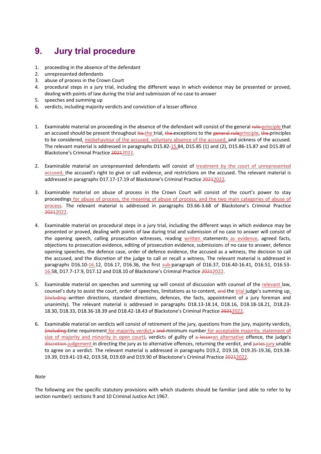## **9. Jury trial procedure**

- 1. proceeding in the absence of the defendant
- 2. unrepresented defendants
- 3. abuse of process in the Crown Court
- 4. procedural steps in a jury trial, including the different ways in which evidence may be presented or proved, dealing with points of law during the trial and submission of no case to answer
- 5. speeches and summing up
- 6. verdicts, including majority verdicts and conviction of a lesser offence
- 1. Examinable material on proceeding in the absence of the defendant will consist of the general rule-principle that an accused should be present throughout his the trial, the exceptions to the general ruleprinciple, the principles to be considered, misbehaviour of the accused, voluntary absence of the accused, and sickness of the accused. The relevant material is addressed in paragraphs D15.82-15.84, D15.85 (1) and (2), D15.86-15.87 and D15.89 of Blackstone's Criminal Practice 20212022.
- 2. Examinable material on unrepresented defendants will consist of treatment by the court of unrepresented accused, the accused's right to give or call evidence, and restrictions on the accused. The relevant material is addressed in paragraphs D17.17-17.19 of Blackstone's Criminal Practice 20212022.
- 3. Examinable material on abuse of process in the Crown Court will consist of the court's power to stay proceedings for abuse of process, the meaning of abuse of process, and the two main categories of abuse of process. The relevant material is addressed in paragraphs D3.66-3.68 of Blackstone's Criminal Practice 20212022.
- 4. Examinable material on procedural steps in a jury trial, including the different ways in which evidence may be presented or proved, dealing with points of law during trial and submission of no case to answer will consist of the opening speech, calling prosecution witnesses, reading written statements as evidence, agreed facts, objections to prosecution evidence, editing of prosecution evidence, submissions of no case to answer, defence opening speeches, the defence case, order of defence evidence, the accused as a witness, the decision to call the accused, and the discretion of the judge to call or recall a witness. The relevant material is addressed in paragraphs D16.10-16.12, D16.17, D16.36, the first sub-paragraph of D16.37, D16.40-16.41, D16.51, D16.53- 16.58, D17.7-17.9, D17.12 and D18.10 of Blackstone's Criminal Practice 20212022.
- 5. Examinable material on speeches and summing up will consist of discussion with counsel of the relevant law, counsel's duty to assist the court, order of speeches, limitations as to content, and the trial judge's summing  $up_t$ (including written directions, standard directions, defences, the facts, appointment of a jury foreman and unanimity). The relevant material is addressed in paragraphs D18.13-18.14, D18.16, D18.18-18.21, D18.23- 18.30, D18.33, D18.36-18.39 and D18.42-18.43 of Blackstone's Criminal Practice 20212022.
- 6. Examinable material on verdicts will consist of retirement of the jury, questions from the jury, majority verdicts, (including time requirement for majority verdict,s and minimum number for acceptable majority, statement of size of majority and minority in open court), verdicts of guilty of  $a$ -lesseran alternative offence, the judge's discretion-judgement in directing the jury as to alternative offences, returning the verdict, and juries-jury unable to agree on a verdict. The relevant material is addressed in paragraphs D19.2, D19.18, D19.35-19.36, D19.38- 19.39, D19.41-19.42, D19.58, D19.69 and D19.90 of Blackstone's Criminal Practice 20212022.

#### *Note*

The following are the specific statutory provisions with which students should be familiar (and able to refer to by section number): sections 9 and 10 Criminal Justice Act 1967.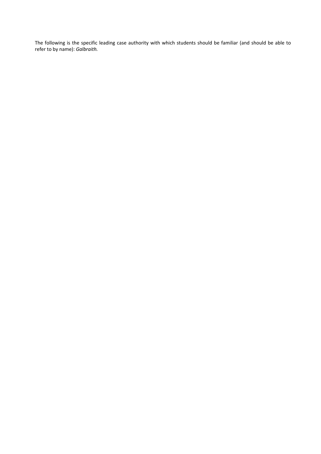The following is the specific leading case authority with which students should be familiar (and should be able to refer to by name): *Galbraith.*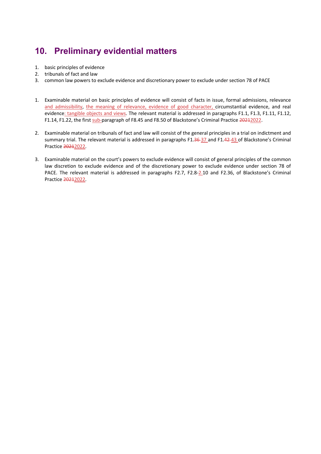# **10. Preliminary evidential matters**

- 1. basic principles of evidence
- 2. tribunals of fact and law
- 3. common law powers to exclude evidence and discretionary power to exclude under section 78 of PACE
- 1. Examinable material on basic principles of evidence will consist of facts in issue, formal admissions, relevance and admissibility, the meaning of relevance, evidence of good character, circumstantial evidence, and real evidence: tangible objects and views. The relevant material is addressed in paragraphs F1.1, F1.3, F1.11, F1.12, F1.14, F1.22, the first sub-paragraph of F8.45 and F8.50 of Blackstone's Criminal Practice 20212022.
- 2. Examinable material on tribunals of fact and law will consist of the general principles in a trial on indictment and summary trial. The relevant material is addressed in paragraphs F1.36-37 and F1.42-43 of Blackstone's Criminal Practice 20212022.
- 3. Examinable material on the court's powers to exclude evidence will consist of general principles of the common law discretion to exclude evidence and of the discretionary power to exclude evidence under section 78 of PACE. The relevant material is addressed in paragraphs F2.7, F2.8-2.10 and F2.36, of Blackstone's Criminal Practice 20212022.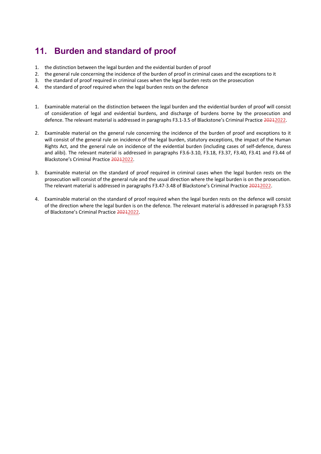# **11. Burden and standard of proof**

- 1. the distinction between the legal burden and the evidential burden of proof
- 2. the general rule concerning the incidence of the burden of proof in criminal cases and the exceptions to it
- 3. the standard of proof required in criminal cases when the legal burden rests on the prosecution
- 4. the standard of proof required when the legal burden rests on the defence
- 1. Examinable material on the distinction between the legal burden and the evidential burden of proof will consist of consideration of legal and evidential burdens, and discharge of burdens borne by the prosecution and defence. The relevant material is addressed in paragraphs F3.1-3.5 of Blackstone's Criminal Practice 20212022.
- 2. Examinable material on the general rule concerning the incidence of the burden of proof and exceptions to it will consist of the general rule on incidence of the legal burden, statutory exceptions, the impact of the Human Rights Act, and the general rule on incidence of the evidential burden (including cases of self-defence, duress and alibi). The relevant material is addressed in paragraphs F3.6-3.10, F3.18, F3.37, F3.40, F3.41 and F3.44 of Blackstone's Criminal Practice 20212022.
- 3. Examinable material on the standard of proof required in criminal cases when the legal burden rests on the prosecution will consist of the general rule and the usual direction where the legal burden is on the prosecution. The relevant material is addressed in paragraphs F3.47-3.48 of Blackstone's Criminal Practice 20212022.
- 4. Examinable material on the standard of proof required when the legal burden rests on the defence will consist of the direction where the legal burden is on the defence. The relevant material is addressed in paragraph F3.53 of Blackstone's Criminal Practice 20212022.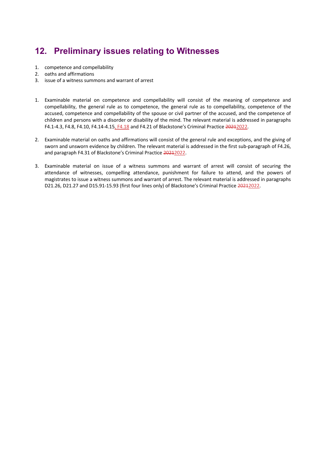# **12. Preliminary issues relating to Witnesses**

- 1. competence and compellability
- 2. oaths and affirmations
- 3. issue of a witness summons and warrant of arrest
- 1. Examinable material on competence and compellability will consist of the meaning of competence and compellability, the general rule as to competence, the general rule as to compellability, competence of the accused, competence and compellability of the spouse or civil partner of the accused, and the competence of children and persons with a disorder or disability of the mind. The relevant material is addressed in paragraphs F4.1-4.3, F4.8, F4.10, F4.14-4.15, F4.18 and F4.21 of Blackstone's Criminal Practice 20212022.
- 2. Examinable material on oaths and affirmations will consist of the general rule and exceptions, and the giving of sworn and unsworn evidence by children. The relevant material is addressed in the first sub-paragraph of F4.26, and paragraph F4.31 of Blackstone's Criminal Practice 20212022.
- 3. Examinable material on issue of a witness summons and warrant of arrest will consist of securing the attendance of witnesses, compelling attendance, punishment for failure to attend, and the powers of magistrates to issue a witness summons and warrant of arrest. The relevant material is addressed in paragraphs D21.26, D21.27 and D15.91-15.93 (first four lines only) of Blackstone's Criminal Practice 20212022.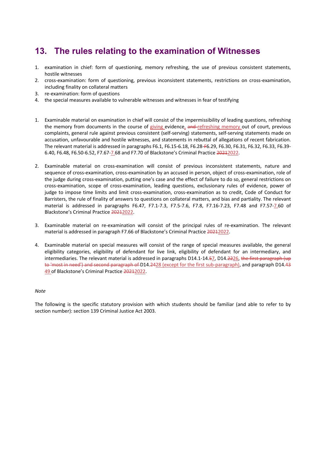### **13. The rules relating to the examination of Witnesses**

- 1. examination in chief: form of questioning, memory refreshing, the use of previous consistent statements, hostile witnesses
- 2. cross-examination: form of questioning, previous inconsistent statements, restrictions on cross-examination, including finality on collateral matters
- 3. re-examination: form of questions
- 4. the special measures available to vulnerable witnesses and witnesses in fear of testifying
- 1. Examinable material on examination in chief will consist of the impermissibility of leading questions, refreshing the memory from documents in the course of giving evidence, and refreshing memory out of court, previous complaints, general rule against previous consistent (self-serving) statements, self-serving statements made on accusation, unfavourable and hostile witnesses, and statements in rebuttal of allegations of recent fabrication. The relevant material is addressed in paragraphs F6.1, F6.15-6.18, F6.28-F6.29, F6.30, F6.31, F6.32, F6.33, F6.39- 6.40, F6.48, F6.50-6.52, F7.67-7.68 and F7.70 of Blackstone's Criminal Practice 20212022.
- 2. Examinable material on cross-examination will consist of previous inconsistent statements, nature and sequence of cross-examination, cross-examination by an accused in person, object of cross-examination, role of the judge during cross-examination, putting one's case and the effect of failure to do so, general restrictions on cross-examination, scope of cross-examination, leading questions, exclusionary rules of evidence, power of judge to impose time limits and limit cross-examination, cross-examination as to credit, Code of Conduct for Barristers, the rule of finality of answers to questions on collateral matters, and bias and partiality. The relevant material is addressed in paragraphs F6.47, F7.1-7.3, F7.5-7.6, F7.8, F7.16-7.23, F7.48 and F7.57-7.60 of Blackstone's Criminal Practice 20212022.
- 3. Examinable material on re-examination will consist of the principal rules of re-examination. The relevant material is addressed in paragraph F7.66 of Blackstone's Criminal Practice 20212022.
- 4. Examinable material on special measures will consist of the range of special measures available, the general eligibility categories, eligibility of defendant for live link, eligibility of defendant for an intermediary, and intermediaries. The relevant material is addressed in paragraphs D14.1-14.57, D14.2226, the first paragraph (up to 'most in need') and second paragraph of D14.2428 (except for the first sub-paragraph), and paragraph D14.43 49 of Blackstone's Criminal Practice 20212022.

#### *Note*

The following is the specific statutory provision with which students should be familiar (and able to refer to by section number): section 139 Criminal Justice Act 2003.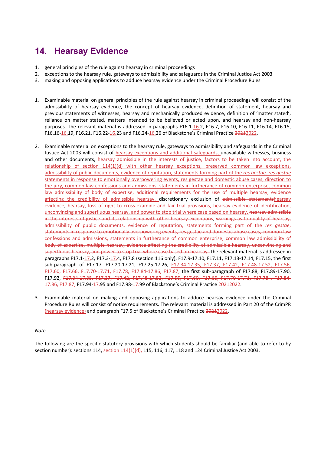# **14. Hearsay Evidence**

- 1. general principles of the rule against hearsay in criminal proceedings
- 2. exceptions to the hearsay rule, gateways to admissibility and safeguards in the Criminal Justice Act 2003
- 3. making and opposing applications to adduce hearsay evidence under the Criminal Procedure Rules
- 1. Examinable material on general principles of the rule against hearsay in criminal proceedings will consist of the admissibility of hearsay evidence, the concept of hearsay evidence, definition of statement, hearsay and previous statements of witnesses, hearsay and mechanically produced evidence, definition of 'matter stated', reliance on matter stated, matters intended to be believed or acted upon, and hearsay and non-hearsay purposes. The relevant material is addressed in paragraphs F16.1-16.2, F16.7, F16.10, F16.11, F16.14, F16.15, F16.16-16.19, F16.21, F16.22-16.23 and F16.24-16.26 of Blackstone's Criminal Practice 20212022.
- 2. Examinable material on exceptions to the hearsay rule, gateways to admissibility and safeguards in the Criminal Justice Act 2003 will consist of hearsay exceptions and additional safeguards, unavailable witnesses, business and other documents, hearsay admissible in the interests of justice, factors to be taken into account, the relationship of section 114(1)(d) with other hearsay exceptions, preserved common law exceptions, admissibility of public documents, evidence of reputation, statements forming part of the *res gestae, res gestae*  statements in response to emotionally overpowering events, res gestae and domestic abuse cases, direction to the jury, common law confessions and admissions, statements in furtherance of common enterprise, common law admissibility of body of expertise, additional requirements for the use of multiple hearsay, evidence affecting the credibility of admissible hearsay, discretionary exclusion of admissible statementshearsay evidence, hearsay, loss of right to cross-examine and fair trial provisions, hearsay evidence of identification, unconvincing and superfluous hearsay, and power to stop trial where case based on hearsay. hearsay admissible in the interests of justice and its relationship with other hearsay exceptions, warnings as to quality of hearsay, admissibility of public documents, evidence of reputation, statements forming part of the *res gestae*, statements in response to emotionally overpowering events, res gestae and domestic abuse cases, common law confessions and admissions, statements in furtherance of common enterprise, common law admissibility of body of expertise, multiple hearsay, evidence affecting the credibility of admissible hearsay, unconvincing and superfluous hearsay, and power to stop trial where case based on hearsay. The relevant material is addressed in paragraphs F17.1-17.2, F17.3-17.4, F17.8 (section 116 only), F17.9-17.10, F17.11, F17.13-17.14, F17.15, the first sub-paragraph of F17.17, F17.20-17.21, F17.25-17.26, F17.34-17.35, F17.37, F17.42, F17.48-17.52, F17.56, F17.60, F17.66, F17.70-17.71, F17.78, F17.84-17.86, F17.87, the first sub-paragraph of F17.88, F17.89-17.90, F17.92, F17.34-17.35, F17.37, F17.42, F17.48-17.52, F17.56, F17.60, F17.66, F17.70-17.71, F17.78 , F17.84- 17.86, F17.87, F17.94-17.95 and F17.98-17.99 of Blackstone's Criminal Practice 20212022.
- 3. Examinable material on making and opposing applications to adduce hearsay evidence under the Criminal Procedure Rules will consist of notice requirements. The relevant material is addressed in Part 20 of the CrimPR (hearsay evidence) and paragraph F17.5 of Blackstone's Criminal Practice 20212022.

#### *Note*

The following are the specific statutory provisions with which students should be familiar (and able to refer to by section number): sections 114, section  $114(1)(d)$ , 115, 116, 117, 118 and 124 Criminal Justice Act 2003.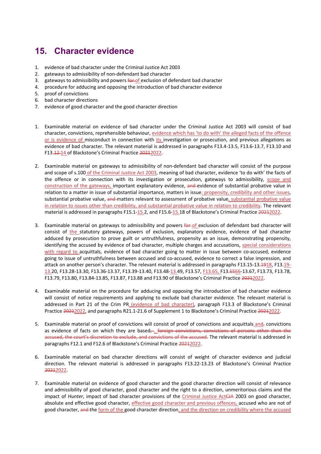# **15. Character evidence**

- 1. evidence of bad character under the Criminal Justice Act 2003
- 2. gateways to admissibility of non-defendant bad character
- 3. gateways to admissibility and powers for of exclusion of defendant bad character
- 4. procedure for adducing and opposing the introduction of bad character evidence
- 5. proof of convictions
- 6. bad character directions
- 7. evidence of good character and the good character direction
- 1. Examinable material on evidence of bad character under the Criminal Justice Act 2003 will consist of bad character, convictions, reprehensible behaviour, evidence which has 'to do with' the alleged facts of the offence or is evidence of misconduct in connection with its investigation or prosecution, and previous allegations as evidence of bad character. The relevant material is addressed in paragraphs F13.4-13.5, F13.6-13.7, F13.10 and F13.12-14 of Blackstone's Criminal Practice 20212022.
- 2. Examinable material on gateways to admissibility of non-defendant bad character will consist of the purpose and scope of s.100 of the Criminal Justice Act 2003, meaning of bad character, evidence 'to do with' the facts of the offence or in connection with its investigation or prosecution, gateways to admissibility, scope and construction of the gateways, important explanatory evidence, and evidence of substantial probative value in relation to a matter in issue of substantial importance, matters in issue: propensity, credibility and other issues, substantial probative value, and matters relevant to assessment of probative value, substantial probative value in relation to issues other than credibility, and substantial probative value in relation to credibility. The relevant material is addressed in paragraphs F15.1-15.2, and F15.6-15.18 of Blackstone's Criminal Practice 20212022.
- 3. Examinable material on gateways to admissibility and powers for of exclusion of defendant bad character will consist of the statutory gateways, powers of exclusion, explanatory evidence, evidence of bad character adduced by prosecution to prove guilt or untruthfulness, propensity as an issue, demonstrating propensity, identifying the accused by evidence of bad character, multiple charges and accusations, special considerations with regard to acquittals, evidence of bad character going to matter in issue between co-accused, evidence going to issue of untruthfulness between accused and co-accused, evidence to correct a false impression, and attack on another person's character. The relevant material is addressed in paragraphs F13.15-13.1918, F13.19-13.20, F13.28-13.30, F13.36-13.37, F13.39-13.40, F13.48-13.49, F13.57, F13.65, F13.6566-13.67, F13.73, F13.78, F13.79, F13.80, F13.84-13.85, F13.87, F13.88 and F13.90 of Blackstone's Criminal Practice 20212022.
- 4. Examinable material on the procedure for adducing and opposing the introduction of bad character evidence will consist of notice requirements and applying to exclude bad character evidence. The relevant material is addressed in Part 21 of the Crim PR (evidence of bad character), paragraph F13.3 of Blackstone's Criminal Practice 20212022, and paragraphs R21.1-21.6 of Supplement 1 to Blackstone's Criminal Practice 20212022.
- 5. Examinable material on proof of convictions will consist of proof of convictions and acquittals and<sub>r</sub> convictions as evidence of facts on which they are based, foreign convictions, convictions of persons other than the accused, the court's discretion to exclude, and convictions of the accused. The relevant material is addressed in paragraphs F12.1 and F12.6 of Blackstone's Criminal Practice 20212022.
- 6. Examinable material on bad character directions will consist of weight of character evidence and judicial direction. The relevant material is addressed in paragraphs F13.22-13.23 of Blackstone's Criminal Practice 20212022.
- 7. Examinable material on evidence of good character and the good character direction will consist of relevance and admissibility of good character, good character and the right to a direction, unmeritorious claims and the impact of *Hunter*, impact of bad character provisions of the Criminal Justice ActCJA 2003 on good character, absolute and effective good character, effective good character and previous offences, accused who are not of good character, and the form of the good character direction, and the direction on credibility where the accused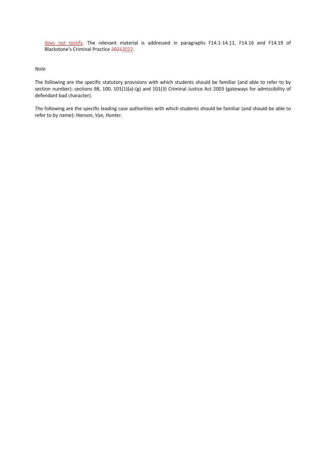does not testify. The relevant material is addressed in paragraphs F14.1-14.11, F14.16 and F14.19 of Blackstone's Criminal Practice 20212022.

#### *Note*

The following are the specific statutory provisions with which students should be familiar (and able to refer to by section number): sections 98, 100, 101(1)(a)-(g) and 101(3) Criminal Justice Act 2003 (gateways for admissibility of defendant bad character).

The following are the specific leading case authorities with which students should be familiar (and should be able to refer to by name): *Hanson*, *Vye, Hunter.*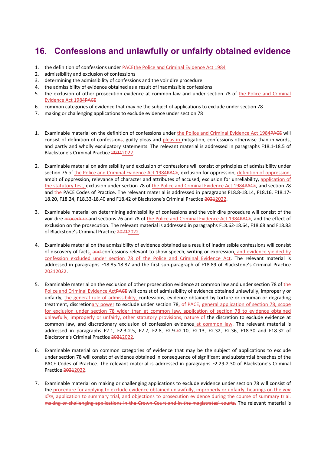# **16. Confessions and unlawfully or unfairly obtained evidence**

- 1. the definition of confessions under PACEthe Police and Criminal Evidence Act 1984
- 2. admissibility and exclusion of confessions
- 3. determining the admissibility of confessions and the voir dire procedure
- 4. the admissibility of evidence obtained as a result of inadmissible confessions
- 5. the exclusion of other prosecution evidence at common law and under section 78 of the Police and Criminal Evidence Act 1984PACE
- 6. common categories of evidence that may be the subject of applications to exclude under section 78
- 7. making or challenging applications to exclude evidence under section 78
- 1. Examinable material on the definition of confessions under the Police and Criminal Evidence Act 1984PACE will consist of definition of confessions, guilty pleas and pleas in mitigation, confessions otherwise than in words, and partly and wholly exculpatory statements. The relevant material is addressed in paragraphs F18.1-18.5 of Blackstone's Criminal Practice 20212022.
- 2. Examinable material on admissibility and exclusion of confessions will consist of principles of admissibility under section 76 of the Police and Criminal Evidence Act 1984PACE, exclusion for oppression, definition of oppression, ambit of oppression, relevance of character and attributes of accused, exclusion for unreliability, application of the statutory test, exclusion under section 78 of the Police and Criminal Evidence Act 1984PACE, and section 78 and the PACE Codes of Practice. The relevant material is addressed in paragraphs F18.8-18.14, F18.16, F18.17- 18.20, F18.24, F18.33-18.40 and F18.42 of Blackstone's Criminal Practice 20212022.
- 3. Examinable material on determining admissibility of confessions and the voir dire procedure will consist of the voir dire procedure and sections 76 and 78 of the Police and Criminal Evidence Act 1984PACE, and the effect of exclusion on the prosecution. The relevant material is addressed in paragraphs F18.62-18.64, F18.68 and F18.83 of Blackstone's Criminal Practice 20212022.
- 4. Examinable material on the admissibility of evidence obtained as a result of inadmissible confessions will consist of discovery of facts, and confessions relevant to show speech, writing or expression, and evidence yielded by confession excluded under section 78 of the Police and Criminal Evidence Act. The relevant material is addressed in paragraphs F18.85-18.87 and the first sub-paragraph of F18.89 of Blackstone's Criminal Practice 20212022.
- 5. Examinable material on the exclusion of other prosecution evidence at common law and under section 78 of the Police and Criminal Evidence ActPACE will consist of admissibility of evidence obtained unlawfully, improperly or unfairly, the general rule of admissibility, confessions, evidence obtained by torture or inhuman or degrading treatment, discretionary power to exclude under section 78, of PACE, general application of section 78, scope for exclusion under section 78 wider than at common law, application of section 78 to evidence obtained unlawfully, improperly or unfairly, other statutory provisions, nature of the discretion to exclude evidence at common law, and discretionary exclusion of confession evidence at common law. The relevant material is addressed in paragraphs F2.1, F2.3-2.5, F2.7, F2.8, F2.9-F2.10, F2.13, F2.32, F2.36, F18.30 and F18.32 of Blackstone's Criminal Practice 20212022.
- 6. Examinable material on common categories of evidence that may be the subject of applications to exclude under section 78 will consist of evidence obtained in consequence of significant and substantial breaches of the PACE Codes of Practice. The relevant material is addressed in paragraphs F2.29-2.30 of Blackstone's Criminal Practice 20212022.
- 7. Examinable material on making or challenging applications to exclude evidence under section 78 will consist of the procedure for applying to exclude evidence obtained unlawfully, improperly or unfairly, hearings on the *voir dire*, application to summary trial, and objections to prosecution evidence during the course of summary trial. making or challenging applications in the Crown Court and in the magistrates' courts. The relevant material is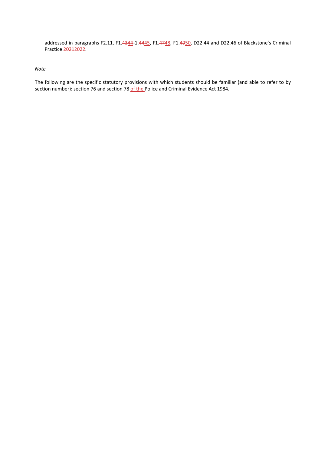addressed in paragraphs F2.11, F1.4344-1.4445, F1.4748, F1.4950, D22.44 and D22.46 of Blackstone's Criminal Practice 20212022.

#### *Note*

The following are the specific statutory provisions with which students should be familiar (and able to refer to by section number): section 76 and section 78 of the Police and Criminal Evidence Act 1984.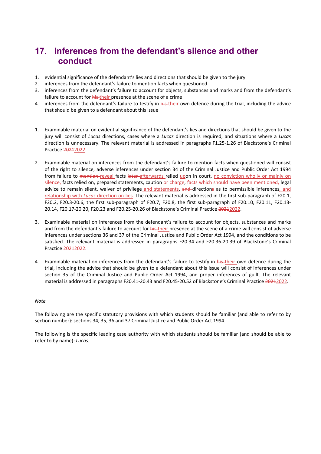### **17. Inferences from the defendant's silence and other conduct**

- 1. evidential significance of the defendant's lies and directions that should be given to the jury
- 2. inferences from the defendant's failure to mention facts when questioned
- 3. inferences from the defendant's failure to account for objects, substances and marks and from the defendant's failure to account for his their presence at the scene of a crime
- 4. inferences from the defendant's failure to testify in his-their own defence during the trial, including the advice that should be given to a defendant about this issue
- 1. Examinable material on evidential significance of the defendant's lies and directions that should be given to the jury will consist of *Lucas* directions, cases where a *Lucas* direction is required, and situations where a *Lucas*  direction is unnecessary. The relevant material is addressed in paragraphs F1.25-1.26 of Blackstone's Criminal Practice 20212022.
- 2. Examinable material on inferences from the defendant's failure to mention facts when questioned will consist of the right to silence, adverse inferences under section 34 of the Criminal Justice and Public Order Act 1994 from failure to mention reveal facts later afterwards relied upon in court, no conviction wholly or mainly on silence, facts relied on, prepared statements, caution or charge, facts which should have been mentioned, legal advice to remain silent, waiver of privilege and statements, and directions as to permissible inferences, and relationship with *Lucas* direction on lies. The relevant material is addressed in the first sub-paragraph of F20.1, F20.2, F20.3-20.6, the first sub-paragraph of F20.7, F20.8, the first sub-paragraph of F20.10, F20.11, F20.13- 20.14, F20.17-20.20, F20.23 and F20.25-20.26 of Blackstone's Criminal Practice 20212022.
- 3. Examinable material on inferences from the defendant's failure to account for objects, substances and marks and from the defendant's failure to account for his their presence at the scene of a crime will consist of adverse inferences under sections 36 and 37 of the Criminal Justice and Public Order Act 1994, and the conditions to be satisfied. The relevant material is addressed in paragraphs F20.34 and F20.36-20.39 of Blackstone's Criminal Practice 20212022.
- 4. Examinable material on inferences from the defendant's failure to testify in his their own defence during the trial, including the advice that should be given to a defendant about this issue will consist of inferences under section 35 of the Criminal Justice and Public Order Act 1994, and proper inferences of guilt. The relevant material is addressed in paragraphs F20.41-20.43 and F20.45-20.52 of Blackstone's Criminal Practice 20212022.

#### *Note*

The following are the specific statutory provisions with which students should be familiar (and able to refer to by section number): sections 34, 35, 36 and 37 Criminal Justice and Public Order Act 1994.

The following is the specific leading case authority with which students should be familiar (and should be able to refer to by name): *Lucas.*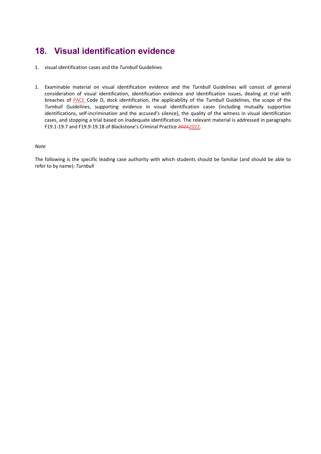# **18. Visual identification evidence**

- 1. visual identification cases and the *Turnbull* Guidelines
- 1. Examinable material on visual identification evidence and the *Turnbull* Guidelines will consist of general consideration of visual identification, identification evidence and identification issues, dealing at trial with breaches of PACE Code D, dock identification, the applicability of the *Turnbull* Guidelines, the scope of the *Turnbull* Guidelines, supporting evidence in visual identification cases (including mutually supportive identifications, self-incrimination and the accused's silence), the quality of the witness in visual identification cases, and stopping a trial based on inadequate identification. The relevant material is addressed in paragraphs F19.1-19.7 and F19.9-19.18 of Blackstone's Criminal Practice 20212022.

#### *Note*

The following is the specific leading case authority with which students should be familiar (and should be able to refer to by name): *Turnbull*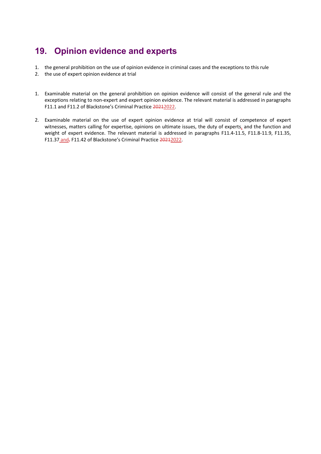# **19. Opinion evidence and experts**

- 1. the general prohibition on the use of opinion evidence in criminal cases and the exceptions to this rule
- 2. the use of expert opinion evidence at trial
- 1. Examinable material on the general prohibition on opinion evidence will consist of the general rule and the exceptions relating to non-expert and expert opinion evidence. The relevant material is addressed in paragraphs F11.1 and F11.2 of Blackstone's Criminal Practice 20212022.
- 2. Examinable material on the use of expert opinion evidence at trial will consist of competence of expert witnesses, matters calling for expertise, opinions on ultimate issues, the duty of experts, and the function and weight of expert evidence. The relevant material is addressed in paragraphs F11.4-11.5, F11.8-11.9, F11.35, F11.37 and<sub>7</sub> F11.42 of Blackstone's Criminal Practice 20212022.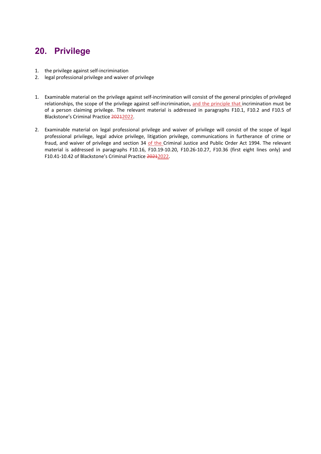# **20. Privilege**

- 1. the privilege against self-incrimination
- 2. legal professional privilege and waiver of privilege
- 1. Examinable material on the privilege against self-incrimination will consist of the general principles of privileged relationships, the scope of the privilege against self-incrimination, and the principle that incrimination must be of a person claiming privilege. The relevant material is addressed in paragraphs F10.1, F10.2 and F10.5 of Blackstone's Criminal Practice 20212022.
- 2. Examinable material on legal professional privilege and waiver of privilege will consist of the scope of legal professional privilege, legal advice privilege, litigation privilege, communications in furtherance of crime or fraud, and waiver of privilege and section 34 of the Criminal Justice and Public Order Act 1994. The relevant material is addressed in paragraphs F10.16, F10.19-10.20, F10.26-10.27, F10.36 (first eight lines only) and F10.41-10.42 of Blackstone's Criminal Practice 20212022.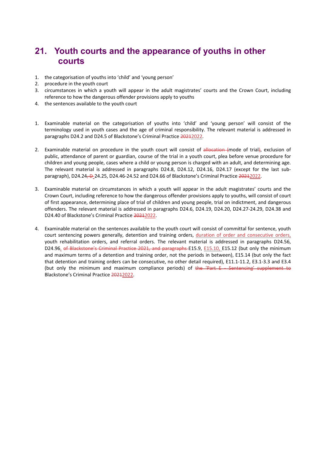### **21. Youth courts and the appearance of youths in other courts**

- 1. the categorisation of youths into 'child' and 'young person'
- 2. procedure in the youth court
- 3. circumstances in which a youth will appear in the adult magistrates' courts and the Crown Court, including reference to how the dangerous offender provisions apply to youths
- 4. the sentences available to the youth court
- 1. Examinable material on the categorisation of youths into 'child' and 'young person' will consist of the terminology used in youth cases and the age of criminal responsibility. The relevant material is addressed in paragraphs D24.2 and D24.5 of Blackstone's Criminal Practice 20212022.
- 2. Examinable material on procedure in the youth court will consist of allocation (mode of trial), exclusion of public, attendance of parent or guardian, course of the trial in a youth court, plea before venue procedure for children and young people, cases where a child or young person is charged with an adult, and determining age. The relevant material is addressed in paragraphs D24.8, D24.12, D24.16, D24.17 (except for the last subparagraph), D24.24, D-24.25, D24.46-24.52 and D24.66 of Blackstone's Criminal Practice 20212022.
- 3. Examinable material on circumstances in which a youth will appear in the adult magistrates' courts and the Crown Court, including reference to how the dangerous offender provisions apply to youths, will consist of court of first appearance, determining place of trial of children and young people, trial on indictment, and dangerous offenders. The relevant material is addressed in paragraphs D24.6, D24.19, D24.20, D24.27-24.29, D24.38 and D24.40 of Blackstone's Criminal Practice 20212022.
- 4. Examinable material on the sentences available to the youth court will consist of committal for sentence, youth court sentencing powers generally, detention and training orders, duration of order and consecutive orders, youth rehabilitation orders, and referral orders. The relevant material is addressed in paragraphs D24.56, D24.96, of Blackstone's Criminal Practice 2021, and paragraphs E15.9, E15.10, E15.12 (but only the minimum and maximum terms of a detention and training order, not the periods in between), E15.14 (but only the fact that detention and training orders can be consecutive, no other detail required), E11.1-11.2, E3.1-3.3 and E3.4 (but only the minimum and maximum compliance periods) of the 'Part E - Sentencing' supplement to Blackstone's Criminal Practice 20212022.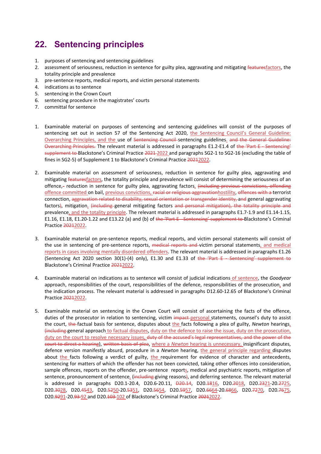# **22. Sentencing principles**

- 1. purposes of sentencing and sentencing guidelines
- 2. assessment of seriousness, reduction in sentence for guilty plea, aggravating and mitigating featuresfactors, the totality principle and prevalence
- 3. pre-sentence reports, medical reports, and victim personal statements
- 4. indications as to sentence
- 5. sentencing in the Crown Court
- 6. sentencing procedure in the magistrates' courts
- 7. committal for sentence
- 1. Examinable material on purposes of sentencing and sentencing guidelines will consist of the purposes of sentencing set out in section 57 of the Sentencing Act 2020, the Sentencing Council's General Guideline: Overarching Principles, and the use of Sentencing Council sentencing guidelines. and the General Guideline: Overarching Principles. The relevant material is addressed in paragraphs E1.2-E1.4 of the 'Part E - Sentencing' supplement to Blackstone's Criminal Practice 2021-2022 and paragraphs SG2-1 to SG2-16 (excluding the table of fines in SG2-5) of Supplement 1 to Blackstone's Criminal Practice 20212022.
- 2. Examinable material on assessment of seriousness, reduction in sentence for guilty plea, aggravating and mitigating featuresfactors, the totality principle and prevalence will consist of determining the seriousness of an offence,- reduction in sentence for guilty plea, aggravating factors, (including previous convictions, offending offence committed on bail, previous convictions, racial or religious aggravationhostility, offences with a terrorist connection, aggravation related to disability, sexual orientation or transgender identity, and general aggravating factors), mitigation, (including general mitigating factors and personal mitigation), the totality principle and prevalence, and the totality principle. The relevant material is addressed in paragraphs E1.7-1.9 and E1.14-1.15, E1.16, E1.18, E1.20-1.22 and E13.22 (a) and (b) of the 'Part E-Sentencing' supplement to Blackstone's Criminal Practice 20212022.
- 3. Examinable material on pre-sentence reports, medical reports, and victim personal statements will consist of the use in sentencing of pre-sentence reports, medical reports and victim personal statements, and medical reports in cases involving mentally disordered offenders. The relevant material is addressed in paragraphs E1.26 (Sentencing Act 2020 section 30(1)-(4) only), E1.30 and E1.33 of the 'Part E Sentencing' supplement to Blackstone's Criminal Practice 20212022.
- 4. Examinable material on indications as to sentence will consist of judicial indications of sentence, the *Goodyear* approach, responsibilities of the court, responsibilities of the defence, responsibilities of the prosecution, and the indication process. The relevant material is addressed in paragraphs D12.60-12.65 of Blackstone's Criminal Practice 20212022.
- 5. Examinable material on sentencing in the Crown Court will consist of ascertaining the facts of the offence, duties of the prosecutor in relation to sentencing, victim impact-personal statements, counsel's duty to assist the court, the factual basis for sentence, disputes about the facts following a plea of guilty, *Newton* hearings, (including general approach to factual disputes, duty on the defence to raise the issue, duty on the prosecution, duty on the court to resolve necessary issues, duty of the accused's legal representatives, and the power of the court to direct a hearing), written basis of plea, where a *Newton* hearing is unnecessary, insignificant disputes, defence version manifestly absurd, procedure in a *Newton* hearing, the general principle regarding disputes about the facts following a verdict of guilty, the requirement for evidence of character and antecedents, sentencing for matters of which the offender has not been convicted, taking other offences into consideration, sample offences, reports on the offender, pre-sentence reports, medical and psychiatric reports, mitigation of sentence, pronouncement of sentence, (including giving reasons), and deferring sentence. The relevant material is addressed in paragraphs D20.1-20.4, D20.6-20.11, D20.14, D20.1816, D20.2018, D20.2321-20.2725, D20.3028, D20.4543, D20.5250-20.5351, D20.5654, D20.5957, D20.6664-20.6866, D20.7270, D20.7675, D20.9291-20.93-92 and D20.103-102 of Blackstone's Criminal Practice 20212022.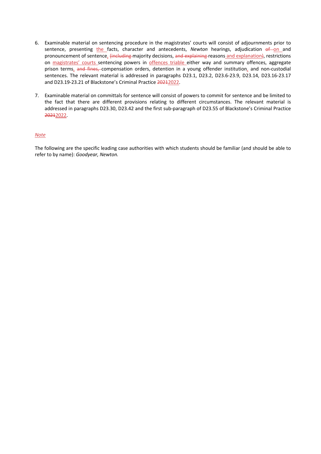- 6. Examinable material on sentencing procedure in the magistrates' courts will consist of adjournments prior to sentence, presenting the facts, character and antecedents, *Newton* hearings, adjudication of on and pronouncement of sentence, (including majority decisions, and explaining reasons and explanation), restrictions on magistrates' courts sentencing powers in offences triable either way and summary offences, aggregate prison terms, and fines, compensation orders, detention in a young offender institution, and non-custodial sentences. The relevant material is addressed in paragraphs D23.1, D23.2, D23.6-23.9, D23.14, D23.16-23.17 and D23.19-23.21 of Blackstone's Criminal Practice 20212022.
- 7. Examinable material on committals for sentence will consist of powers to commit for sentence and be limited to the fact that there are different provisions relating to different circumstances. The relevant material is addressed in paragraphs D23.30, D23.42 and the first sub-paragraph of D23.55 of Blackstone's Criminal Practice 20212022.

#### *Note*

The following are the specific leading case authorities with which students should be familiar (and should be able to refer to by name): *Goodyear, Newton.*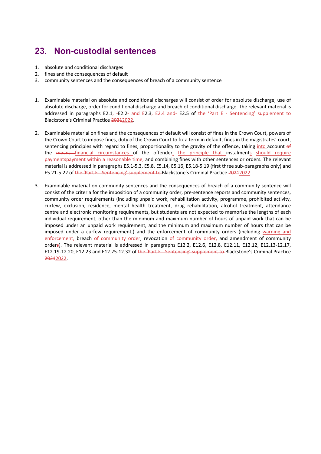# **23. Non-custodial sentences**

- 1. absolute and conditional discharges
- 2. fines and the consequences of default
- 3. community sentences and the consequences of breach of a community sentence
- 1. Examinable material on absolute and conditional discharges will consist of order for absolute discharge, use of absolute discharge, order for conditional discharge and breach of conditional discharge. The relevant material is addressed in paragraphs E2.1 $-$ E2.2- and E2.3, E2.4 and E2.5 of the 'Part E-Sentencing' supplement to Blackstone's Criminal Practice 20212022.
- 2. Examinable material on fines and the consequences of default will consist of fines in the Crown Court, powers of the Crown Court to impose fines, duty of the Crown Court to fix a term in default, fines in the magistrates' court, sentencing principles with regard to fines, proportionality to the gravity of the offence, taking into account of the means financial circumstances of the offender, the principle that instalments should require paymentspayment within a reasonable time, and combining fines with other sentences or orders. The relevant material is addressed in paragraphs E5.1-5.3, E5.8, E5.14, E5.16, E5.18-5.19 (first three sub-paragraphs only) and E5.21-5.22 of the 'Part E-Sentencing' supplement to Blackstone's Criminal Practice 20212022.
- 3. Examinable material on community sentences and the consequences of breach of a community sentence will consist of the criteria for the imposition of a community order, pre-sentence reports and community sentences, community order requirements (including unpaid work, rehabilitation activity, programme, prohibited activity, curfew, exclusion, residence, mental health treatment, drug rehabilitation, alcohol treatment, attendance centre and electronic monitoring requirements, but students are not expected to memorise the lengths of each individual requirement, other than the minimum and maximum number of hours of unpaid work that can be imposed under an unpaid work requirement, and the minimum and maximum number of hours that can be imposed under a curfew requirement,) and the enforcement of community orders (including warning and enforcement, breach of community order, revocation of community order, and amendment of community orders). The relevant material is addressed in paragraphs E12.2, E12.6, E12.8, E12.11, E12.12, E12.13-12.17, E12.19-12.20, E12.23 and E12.25-12.32 of the 'Part E-Sentencing' supplement to Blackstone's Criminal Practice 20212022.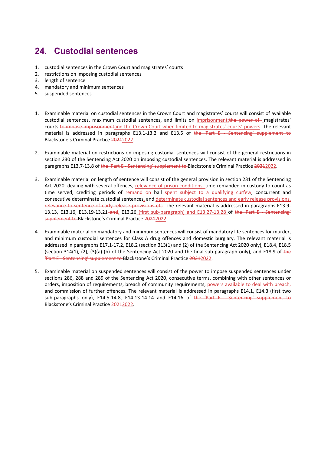# **24. Custodial sentences**

- 1. custodial sentences in the Crown Court and magistrates' courts
- 2. restrictions on imposing custodial sentences
- 3. length of sentence
- 4. mandatory and minimum sentences
- 5. suspended sentences
- 1. Examinable material on custodial sentences in the Crown Court and magistrates' courts will consist of available custodial sentences, maximum custodial sentences, and limits on imprisonment:the power of magistrates' courts to impose imprisonmentand the Crown Court when limited to magistrates' courts' powers. The relevant material is addressed in paragraphs E13.1-13.2 and E13.5 of the 'Part E - Sentencing' supplement to Blackstone's Criminal Practice 20212022.
- 2. Examinable material on restrictions on imposing custodial sentences will consist of the general restrictions in section 230 of the Sentencing Act 2020 on imposing custodial sentences. The relevant material is addressed in paragraphs E13.7-13.8 of the 'Part E - Sentencing' supplement to Blackstone's Criminal Practice 20212022.
- 3. Examinable material on length of sentence will consist of the general provision in section 231 of the Sentencing Act 2020, dealing with several offences, relevance of prison conditions, time remanded in custody to count as time served, crediting periods of remand on bail spent subject to a qualifying curfew, concurrent and consecutive determinate custodial sentences, and determinate custodial sentences and early release provisions. relevance to sentence of early release provisions etc. The relevant material is addressed in paragraphs E13.9-13.13, E13.16, E13.19-13.21-and, E13.26 (first sub-paragraph) and E13.27-13.28 of the 'Part E - Sentencing' supplement to Blackstone's Criminal Practice 20212022.
- 4. Examinable material on mandatory and minimum sentences will consist of mandatory life sentences for murder, and minimum custodial sentences for Class A drug offences and domestic burglary. The relevant material is addressed in paragraphs E17.1-17.2, E18.2 (section 313(1) and (2) of the Sentencing Act 2020 only), E18.4, E18.5 (section 314(1), (2), (3)(a)-(b) of the Sentencing Act 2020 and the final sub-paragraph only), and E18.9 of the 'Part E - Sentencing' supplement to Blackstone's Criminal Practice 20212022.
- 5. Examinable material on suspended sentences will consist of the power to impose suspended sentences under sections 286, 288 and 289 of the Sentencing Act 2020, consecutive terms, combining with other sentences or orders, imposition of requirements, breach of community requirements, powers available to deal with breach, and commission of further offences. The relevant material is addressed in paragraphs E14.1, E14.3 (first two sub-paragraphs only), E14.5-14.8, E14.13-14.14 and E14.16 of the 'Part E Sentencing' supplement to Blackstone's Criminal Practice 20212022.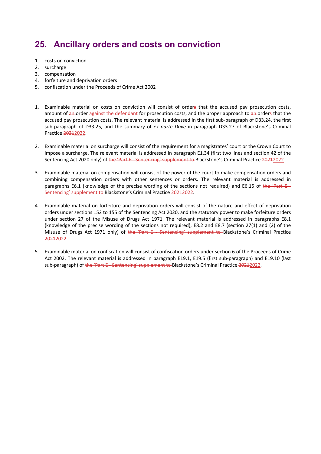# **25. Ancillary orders and costs on conviction**

- 1. costs on conviction
- 2. surcharge
- 3. compensation
- 4. forfeiture and deprivation orders
- 5. confiscation under the Proceeds of Crime Act 2002
- 1. Examinable material on costs on conviction will consist of orders that the accused pay prosecution costs, amount of an order against the defendant for prosecution costs, and the proper approach to an orders that the accused pay prosecution costs. The relevant material is addressed in the first sub-paragraph of D33.24, the first sub-paragraph of D33.25, and the summary of *ex parte Dove* in paragraph D33.27 of Blackstone's Criminal Practice 20212022.
- 2. Examinable material on surcharge will consist of the requirement for a magistrates' court or the Crown Court to impose a surcharge. The relevant material is addressed in paragraph E1.34 (first two lines and section 42 of the Sentencing Act 2020 only) of the 'Part E - Sentencing' supplement to Blackstone's Criminal Practice 20212022.
- 3. Examinable material on compensation will consist of the power of the court to make compensation orders and combining compensation orders with other sentences or orders. The relevant material is addressed in paragraphs E6.1 (knowledge of the precise wording of the sections not required) and E6.15 of the 'Part  $E-$ Sentencing' supplement to Blackstone's Criminal Practice 20212022.
- 4. Examinable material on forfeiture and deprivation orders will consist of the nature and effect of deprivation orders under sections 152 to 155 of the Sentencing Act 2020, and the statutory power to make forfeiture orders under section 27 of the Misuse of Drugs Act 1971. The relevant material is addressed in paragraphs E8.1 (knowledge of the precise wording of the sections not required), E8.2 and E8.7 (section 27(1) and (2) of the Misuse of Drugs Act 1971 only) of the 'Part E - Sentencing' supplement to Blackstone's Criminal Practice 20212022.
- 5. Examinable material on confiscation will consist of confiscation orders under section 6 of the Proceeds of Crime Act 2002. The relevant material is addressed in paragraph E19.1, E19.5 (first sub-paragraph) and E19.10 (last sub-paragraph) of the 'Part E Sentencing' supplement to Blackstone's Criminal Practice 20212022.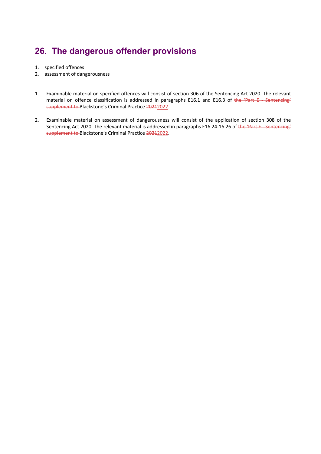# **26. The dangerous offender provisions**

- 1. specified offences
- 2. assessment of dangerousness
- 1. Examinable material on specified offences will consist of section 306 of the Sentencing Act 2020. The relevant material on offence classification is addressed in paragraphs E16.1 and E16.3 of the 'Part E - Sentencing' supplement to Blackstone's Criminal Practice 20212022.
- 2. Examinable material on assessment of dangerousness will consist of the application of section 308 of the Sentencing Act 2020. The relevant material is addressed in paragraphs E16.24-16.26 of the 'Part E - Sentencing' supplement to Blackstone's Criminal Practice 20212022.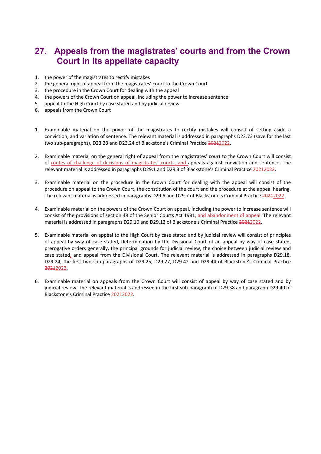### **27. Appeals from the magistrates' courts and from the Crown Court in its appellate capacity**

- 1. the power of the magistrates to rectify mistakes
- 2. the general right of appeal from the magistrates' court to the Crown Court
- 3. the procedure in the Crown Court for dealing with the appeal
- 4. the powers of the Crown Court on appeal, including the power to increase sentence
- 5. appeal to the High Court by case stated and by judicial review
- 6. appeals from the Crown Court
- 1. Examinable material on the power of the magistrates to rectify mistakes will consist of setting aside a conviction, and variation of sentence. The relevant material is addressed in paragraphs D22.73 (save for the last two sub-paragraphs), D23.23 and D23.24 of Blackstone's Criminal Practice 20212022.
- 2. Examinable material on the general right of appeal from the magistrates' court to the Crown Court will consist of routes of challenge of decisions of magistrates' courts, and appeals against conviction and sentence. The relevant material is addressed in paragraphs D29.1 and D29.3 of Blackstone's Criminal Practice 20212022.
- 3. Examinable material on the procedure in the Crown Court for dealing with the appeal will consist of the procedure on appeal to the Crown Court, the constitution of the court and the procedure at the appeal hearing. The relevant material is addressed in paragraphs D29.6 and D29.7 of Blackstone's Criminal Practice 20212022.
- 4. Examinable material on the powers of the Crown Court on appeal, including the power to increase sentence will consist of the provisions of section 48 of the Senior Courts Act 1981, and abandonment of appeal. The relevant material is addressed in paragraphs D29.10 and D29.13 of Blackstone's Criminal Practice 20212022.
- 5. Examinable material on appeal to the High Court by case stated and by judicial review will consist of principles of appeal by way of case stated, determination by the Divisional Court of an appeal by way of case stated, prerogative orders generally, the principal grounds for judicial review, the choice between judicial review and case stated, and appeal from the Divisional Court. The relevant material is addressed in paragraphs D29.18, D29.24, the first two sub-paragraphs of D29.25, D29.27, D29.42 and D29.44 of Blackstone's Criminal Practice 20212022.
- 6. Examinable material on appeals from the Crown Court will consist of appeal by way of case stated and by judicial review. The relevant material is addressed in the first sub-paragraph of D29.38 and paragraph D29.40 of Blackstone's Criminal Practice 20212022.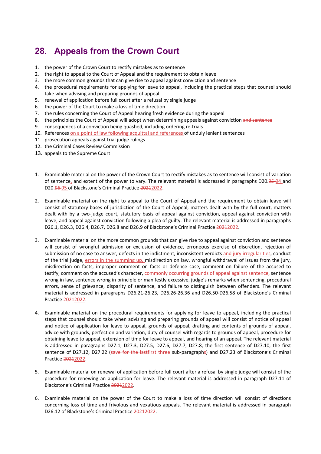# **28. Appeals from the Crown Court**

- 1. the power of the Crown Court to rectify mistakes as to sentence
- 2. the right to appeal to the Court of Appeal and the requirement to obtain leave
- 3. the more common grounds that can give rise to appeal against conviction and sentence
- 4. the procedural requirements for applying for leave to appeal, including the practical steps that counsel should take when advising and preparing grounds of appeal
- 5. renewal of application before full court after a refusal by single judge
- 6. the power of the Court to make a loss of time direction
- 7. the rules concerning the Court of Appeal hearing fresh evidence during the appeal
- 8. the principles the Court of Appeal will adopt when determining appeals against conviction and sentence
- 9. consequences of a conviction being quashed, including ordering re-trials
- 10. References on a point of law following acquittal and references of unduly lenient sentences
- 11. prosecution appeals against trial judge rulings
- 12. the Criminal Cases Review Commission
- 13. appeals to the Supreme Court
- 1. Examinable material on the power of the Crown Court to rectify mistakes as to sentence will consist of variation of sentence, and extent of the power to vary. The relevant material is addressed in paragraphs D20.95-94 and D20.96 95 of Blackstone's Criminal Practice 20212022.
- 2. Examinable material on the right to appeal to the Court of Appeal and the requirement to obtain leave will consist of statutory bases of jurisdiction of the Court of Appeal, matters dealt with by the full court, matters dealt with by a two-judge court, statutory basis of appeal against conviction, appeal against conviction with leave, and appeal against conviction following a plea of guilty. The relevant material is addressed in paragraphs D26.1, D26.3, D26.4, D26.7, D26.8 and D26.9 of Blackstone's Criminal Practice 20212022.
- 3. Examinable material on the more common grounds that can give rise to appeal against conviction and sentence will consist of wrongful admission or exclusion of evidence, erroneous exercise of discretion, rejection of submission of no case to answer, defects in the indictment, inconsistent verdicts and jury irregularities, conduct of the trial judge, errors in the summing up, misdirection on law, wrongful withdrawal of issues from the jury, misdirection on facts, improper comment on facts or defence case, comment on failure of the accused to testify, comment on the accused's character, commonly occurring grounds of appeal against sentence, sentence wrong in law, sentence wrong in principle or manifestly excessive, judge's remarks when sentencing, procedural errors, sense of grievance, disparity of sentence, and failure to distinguish between offenders. The relevant material is addressed in paragraphs D26.21-26.23, D26.26-26.36 and D26.50-D26.58 of Blackstone's Criminal Practice 20212022.
- 4. Examinable material on the procedural requirements for applying for leave to appeal, including the practical steps that counsel should take when advising and preparing grounds of appeal will consist of notice of appeal and notice of application for leave to appeal, grounds of appeal, drafting and contents of grounds of appeal, advice with grounds, perfection and variation, duty of counsel with regards to grounds of appeal, procedure for obtaining leave to appeal, extension of time for leave to appeal, and hearing of an appeal. The relevant material is addressed in paragraphs D27.1, D27.3, D27.5, D27.6, D27.7, D27.8, the first sentence of D27.10, the first sentence of D27.12, D27.22 (save for the lastfirst three sub-paragraphs) and D27.23 of Blackstone's Criminal Practice 20212022.
- 5. Examinable material on renewal of application before full court after a refusal by single judge will consist of the procedure for renewing an application for leave. The relevant material is addressed in paragraph D27.11 of Blackstone's Criminal Practice 20212022.
- 6. Examinable material on the power of the Court to make a loss of time direction will consist of directions concerning loss of time and frivolous and vexatious appeals. The relevant material is addressed in paragraph D26.12 of Blackstone's Criminal Practice 20212022.